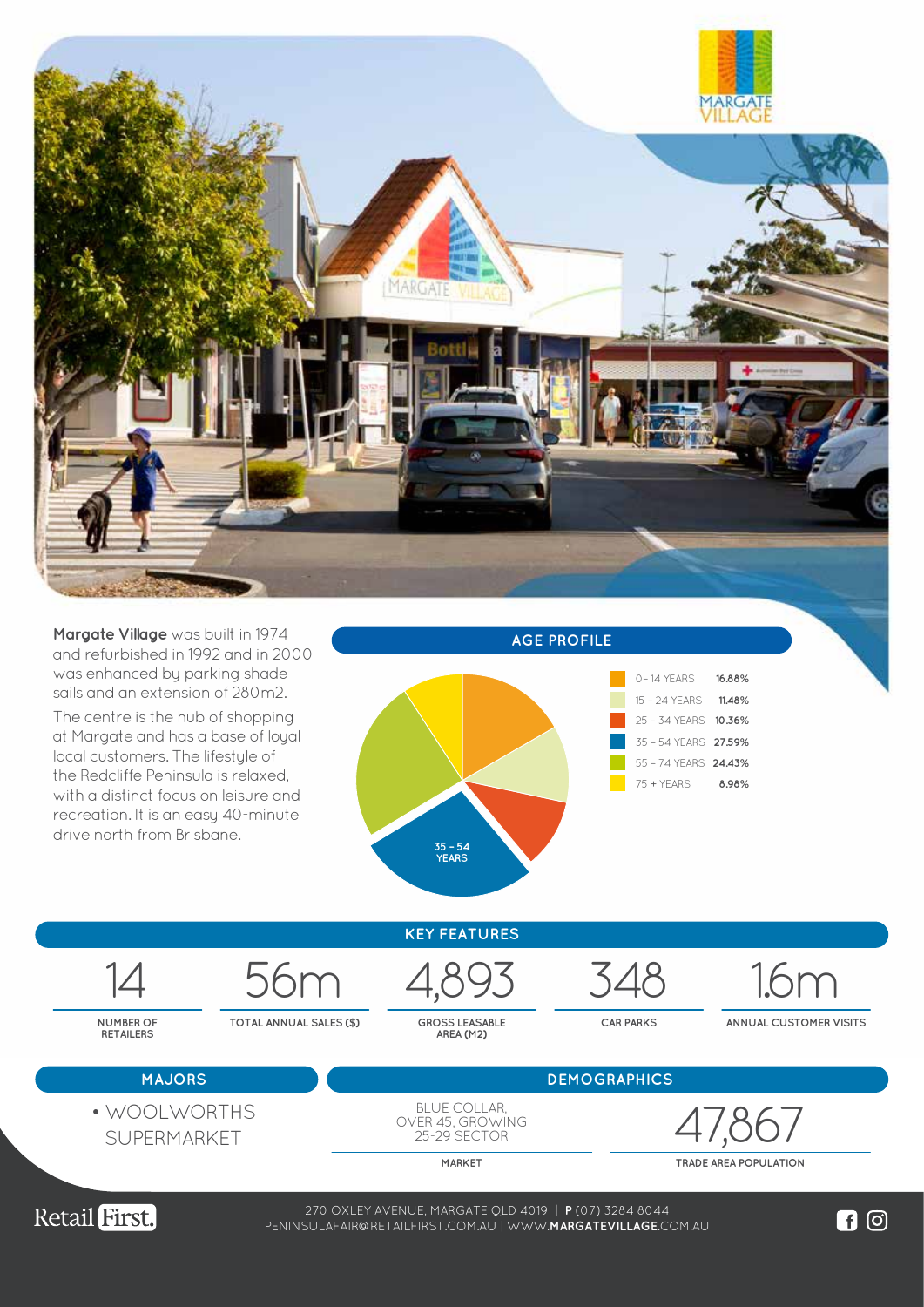

**Margate Village** was built in 1974 and refurbished in 1992 and in 2000 was enhanced by parking shade sails and an extension of 280m2.

The centre is the hub of shopping at Margate and has a base of loyal local customers. The lifestyle of the Redcliffe Peninsula is relaxed, with a distinct focus on leisure and recreation. It is an easy 40-minute drive north from Brisbane.







**MARKET TRADE AREA POPULATION**



38-74 WEMBLEY ROAD, LOGAN CENTRAL QLD 4114 | **P** (07) 3208 0988 270 OXLEY AVENUE, MARGATE QLD 4019 | **P** (07) 3284 8044 WWW.**LOGANCENTRALPLAZA**.COM.AU PENINSULAFAIR@RETAILFIRST.COM.AU | WWW.**MARGATEVILLAGE**.COM.AU